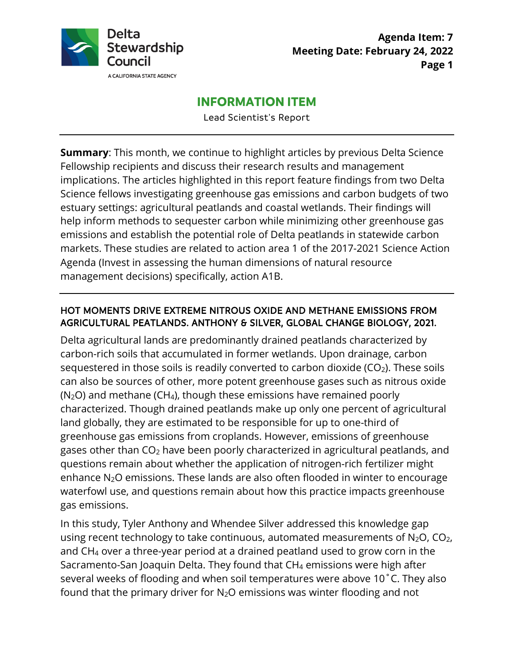

## **INFORMATION ITEM**

Lead Scientist's Report

 implications. The articles highlighted in this report feature findings from two Delta **Summary**: This month, we continue to highlight articles by previous Delta Science Fellowship recipients and discuss their research results and management Science fellows investigating greenhouse gas emissions and carbon budgets of two estuary settings: agricultural peatlands and coastal wetlands. Their findings will help inform methods to sequester carbon while minimizing other greenhouse gas emissions and establish the potential role of Delta peatlands in statewide carbon markets. These studies are related to action area 1 of the 2017-2021 Science Action Agenda (Invest in assessing the human dimensions of natural resource management decisions) specifically, action A1B.

## HOT MOMENTS DRIVE EXTREME NITROUS OXIDE AND METHANE EMISSIONS FROM AGRICULTURAL PEATLANDS. ANTHONY & SILVER, GLOBAL CHANGE BIOLOGY, 2021.

enhance N $_2$ O emissions. These lands are also often flooded in winter to encourage Delta agricultural lands are predominantly drained peatlands characterized by carbon-rich soils that accumulated in former wetlands. Upon drainage, carbon sequestered in those soils is readily converted to carbon dioxide  $(CO<sub>2</sub>)$ . These soils can also be sources of other, more potent greenhouse gases such as nitrous oxide  $(N_2O)$  and methane (CH<sub>4</sub>), though these emissions have remained poorly characterized. Though drained peatlands make up only one percent of agricultural land globally, they are estimated to be responsible for up to one-third of greenhouse gas emissions from croplands. However, emissions of greenhouse gases other than  $CO<sub>2</sub>$  have been poorly characterized in agricultural peatlands, and questions remain about whether the application of nitrogen-rich fertilizer might waterfowl use, and questions remain about how this practice impacts greenhouse gas emissions.

 In this study, Tyler Anthony and Whendee Silver addressed this knowledge gap several weeks of flooding and when soil temperatures were above 10˚C. They also using recent technology to take continuous, automated measurements of  $N_2O$ ,  $CO_2$ , and CH4 over a three-year period at a drained peatland used to grow corn in the Sacramento-San Joaquin Delta. They found that CH4 emissions were high after found that the primary driver for N2O emissions was winter flooding and not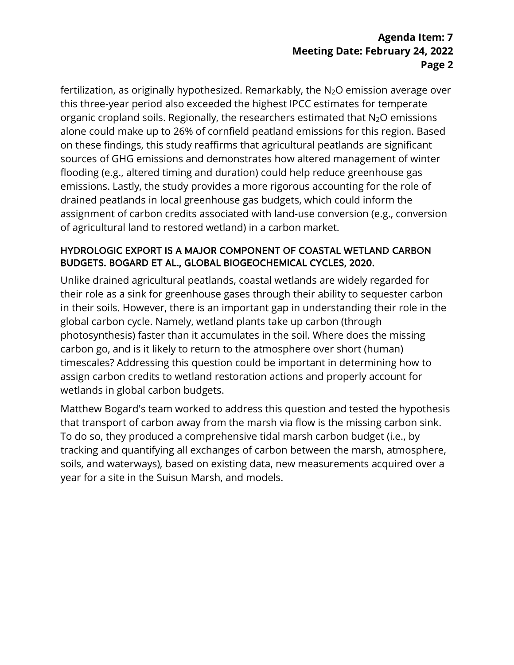# **Meeting Date: February 24, 2022 Page 2 Agenda Item: 7**

 this three-year period also exceeded the highest IPCC estimates for temperate emissions. Lastly, the study provides a more rigorous accounting for the role of assignment of carbon credits associated with land-use conversion (e.g., conversion of agricultural land to restored wetland) in a carbon market. fertilization, as originally hypothesized. Remarkably, the  $N_2O$  emission average over organic cropland soils. Regionally, the researchers estimated that  $N_2O$  emissions alone could make up to 26% of cornfield peatland emissions for this region. Based on these findings, this study reaffirms that agricultural peatlands are significant sources of GHG emissions and demonstrates how altered management of winter flooding (e.g., altered timing and duration) could help reduce greenhouse gas drained peatlands in local greenhouse gas budgets, which could inform the

### HYDROLOGIC EXPORT IS A MAJOR COMPONENT OF COASTAL WETLAND CARBON BUDGETS. BOGARD ET AL., GLOBAL BIOGEOCHEMICAL CYCLES, 2020.

 their role as a sink for greenhouse gases through their ability to sequester carbon in their soils. However, there is an important gap in understanding their role in the Unlike drained agricultural peatlands, coastal wetlands are widely regarded for global carbon cycle. Namely, wetland plants take up carbon (through photosynthesis) faster than it accumulates in the soil. Where does the missing carbon go, and is it likely to return to the atmosphere over short (human) timescales? Addressing this question could be important in determining how to assign carbon credits to wetland restoration actions and properly account for wetlands in global carbon budgets.

 To do so, they produced a comprehensive tidal marsh carbon budget (i.e., by tracking and quantifying all exchanges of carbon between the marsh, atmosphere, Matthew Bogard's team worked to address this question and tested the hypothesis that transport of carbon away from the marsh via flow is the missing carbon sink. soils, and waterways), based on existing data, new measurements acquired over a year for a site in the Suisun Marsh, and models.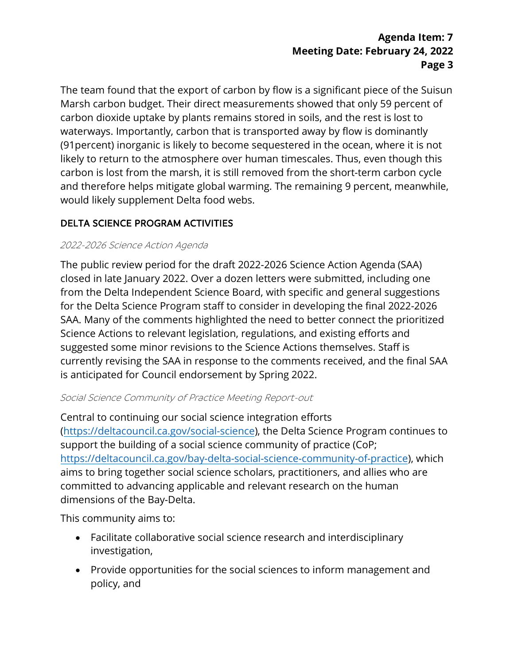# **Meeting Date: February 24, 2022 Page 3 Agenda Item: 7**

 carbon dioxide uptake by plants remains stored in soils, and the rest is lost to (91percent) inorganic is likely to become sequestered in the ocean, where it is not would likely supplement Delta food webs. The team found that the export of carbon by flow is a significant piece of the Suisun Marsh carbon budget. Their direct measurements showed that only 59 percent of waterways. Importantly, carbon that is transported away by flow is dominantly likely to return to the atmosphere over human timescales. Thus, even though this carbon is lost from the marsh, it is still removed from the short-term carbon cycle and therefore helps mitigate global warming. The remaining 9 percent, meanwhile,

## DELTA SCIENCE PROGRAM ACTIVITIES

### 2022-2026 Science Action Agenda

 SAA. Many of the comments highlighted the need to better connect the prioritized is anticipated for Council endorsement by Spring 2022.The public review period for the draft 2022-2026 Science Action Agenda (SAA) closed in late January 2022. Over a dozen letters were submitted, including one from the Delta Independent Science Board, with specific and general suggestions for the Delta Science Program staff to consider in developing the final 2022-2026 Science Actions to relevant legislation, regulations, and existing efforts and suggested some minor revisions to the Science Actions themselves. Staff is currently revising the SAA in response to the comments received, and the final SAA

#### Social Science Community of Practice Meeting Report-out

Central to continuing our social science integration efforts ([https://deltacouncil.ca.gov/social-science\)](https://deltacouncil.ca.gov/social-science), the Delta Science Program continues to support the building of a social science community of practice (CoP; <https://deltacouncil.ca.gov/bay-delta-social-science-community-of-practice>), which aims to bring together social science scholars, practitioners, and allies who are committed to advancing applicable and relevant research on the human dimensions of the Bay-Delta.

This community aims to:

- Facilitate collaborative social science research and interdisciplinary investigation,
- Provide opportunities for the social sciences to inform management and policy, and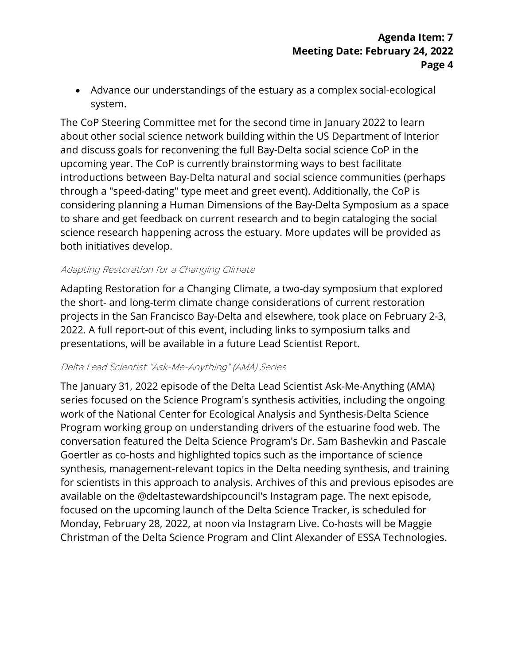• Advance our understandings of the estuary as a complex social-ecological system.

 about other social science network building within the US Department of Interior upcoming year. The CoP is currently brainstorming ways to best facilitate considering planning a Human Dimensions of the Bay-Delta Symposium as a space science research happening across the estuary. More updates will be provided as The CoP Steering Committee met for the second time in January 2022 to learn and discuss goals for reconvening the full Bay-Delta social science CoP in the introductions between Bay-Delta natural and social science communities (perhaps through a "speed-dating" type meet and greet event). Additionally, the CoP is to share and get feedback on current research and to begin cataloging the social both initiatives develop.

#### Adapting Restoration for a Changing Climate

Adapting Restoration for a Changing Climate, a two-day symposium that explored the short- and long-term climate change considerations of current restoration projects in the San Francisco Bay-Delta and elsewhere, took place on February 2-3, 2022. A full report-out of this event, including links to symposium talks and presentations, will be available in a future Lead Scientist Report.

#### Delta Lead Scientist "Ask-Me-Anything" (AMA) Series

 Goertler as co-hosts and highlighted topics such as the importance of science Monday, February 28, 2022, at noon via Instagram Live. Co-hosts will be Maggie The January 31, 2022 episode of the Delta Lead Scientist Ask-Me-Anything (AMA) series focused on the Science Program's synthesis activities, including the ongoing work of the National Center for Ecological Analysis and Synthesis-Delta Science Program working group on understanding drivers of the estuarine food web. The conversation featured the Delta Science Program's Dr. Sam Bashevkin and Pascale synthesis, management-relevant topics in the Delta needing synthesis, and training for scientists in this approach to analysis. Archives of this and previous episodes are available on the @deltastewardshipcouncil's Instagram page. The next episode, focused on the upcoming launch of the Delta Science Tracker, is scheduled for Christman of the Delta Science Program and Clint Alexander of ESSA Technologies.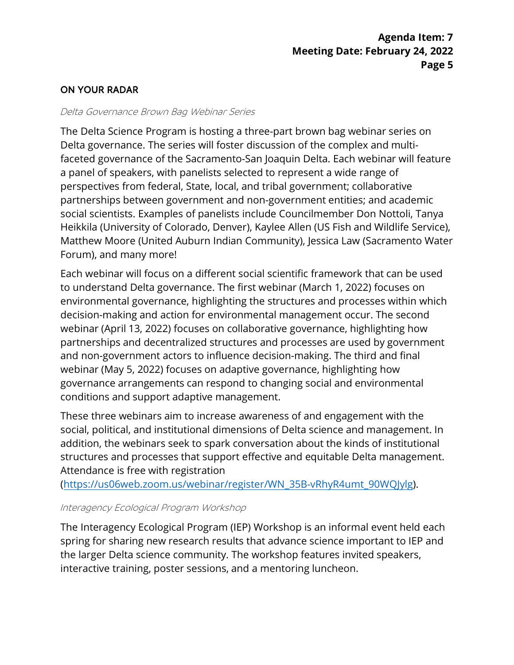## ON YOUR RADAR

#### Delta Governance Brown Bag Webinar Series

 The Delta Science Program is hosting a three-part brown bag webinar series on Delta governance. The series will foster discussion of the complex and multifaceted governance of the Sacramento-San Joaquin Delta. Each webinar will feature a panel of speakers, with panelists selected to represent a wide range of perspectives from federal, State, local, and tribal government; collaborative partnerships between government and non-government entities; and academic social scientists. Examples of panelists include Councilmember Don Nottoli, Tanya Heikkila (University of Colorado, Denver), Kaylee Allen (US Fish and Wildlife Service), Matthew Moore (United Auburn Indian Community), Jessica Law (Sacramento Water Forum), and many more!

 Each webinar will focus on a different social scientific framework that can be used to understand Delta governance. The first webinar (March 1, 2022) focuses on webinar (April 13, 2022) focuses on collaborative governance, highlighting how webinar (May 5, 2022) focuses on adaptive governance, highlighting how environmental governance, highlighting the structures and processes within which decision-making and action for environmental management occur. The second partnerships and decentralized structures and processes are used by government and non-government actors to influence decision-making. The third and final governance arrangements can respond to changing social and environmental conditions and support adaptive management.

These three webinars aim to increase awareness of and engagement with the social, political, and institutional dimensions of Delta science and management. In addition, the webinars seek to spark conversation about the kinds of institutional structures and processes that support effective and equitable Delta management. Attendance is free with registration

([https://us06web.zoom.us/webinar/register/WN\\_35B-vRhyR4umt\\_90WQJylg\)](https://us06web.zoom.us/webinar/register/WN_35B-vRhyR4umt_90WQJylg).

#### Interagency Ecological Program Workshop

 The Interagency Ecological Program (IEP) Workshop is an informal event held each spring for sharing new research results that advance science important to IEP and interactive training, poster sessions, and a mentoring luncheon. the larger Delta science community. The workshop features invited speakers,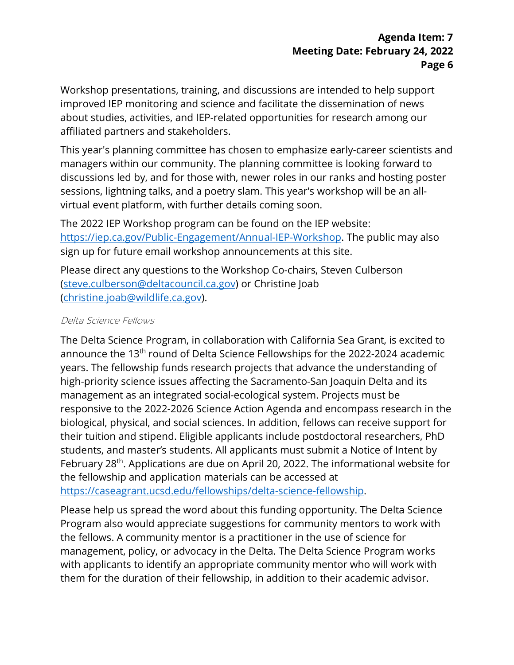Workshop presentations, training, and discussions are intended to help support improved IEP monitoring and science and facilitate the dissemination of news about studies, activities, and IEP-related opportunities for research among our affiliated partners and stakeholders.

 discussions led by, and for those with, newer roles in our ranks and hosting poster virtual event platform, with further details coming soon. This year's planning committee has chosen to emphasize early-career scientists and managers within our community. The planning committee is looking forward to sessions, lightning talks, and a poetry slam. This year's workshop will be an all-

The 2022 IEP Workshop program can be found on the IEP website: [https://iep.ca.gov/Public-Engagement/Annual-IEP-Workshop.](https://iep.ca.gov/Public-Engagement/Annual-IEP-Workshop) The public may also sign up for future email workshop announcements at this site.

Please direct any questions to the Workshop Co-chairs, Steven Culberson [\(steve.culberson@deltacouncil.ca.gov\)](mailto:steve.culberson@deltacouncil.ca.gov) or Christine Joab [\(christine.joab@wildlife.ca.gov\)](mailto:christine.joab@wildlife.ca.gov).

## Delta Science Fellows

 The Delta Science Program, in collaboration with California Sea Grant, is excited to their tuition and stipend. Eligible applicants include postdoctoral researchers, PhD announce the 13<sup>th</sup> round of Delta Science Fellowships for the 2022-2024 academic years. The fellowship funds research projects that advance the understanding of high-priority science issues affecting the Sacramento-San Joaquin Delta and its management as an integrated social-ecological system. Projects must be responsive to the 2022-2026 Science Action Agenda and encompass research in the biological, physical, and social sciences. In addition, fellows can receive support for students, and master's students. All applicants must submit a Notice of Intent by February 28<sup>th</sup>. Applications are due on April 20, 2022. The informational website for the fellowship and application materials can be accessed at [https://caseagrant.ucsd.edu/fellowships/delta-science-fellowship.](https://caseagrant.ucsd.edu/fellowships/delta-science-fellowship)

 Program also would appreciate suggestions for community mentors to work with Please help us spread the word about this funding opportunity. The Delta Science the fellows. A community mentor is a practitioner in the use of science for management, policy, or advocacy in the Delta. The Delta Science Program works with applicants to identify an appropriate community mentor who will work with them for the duration of their fellowship, in addition to their academic advisor.